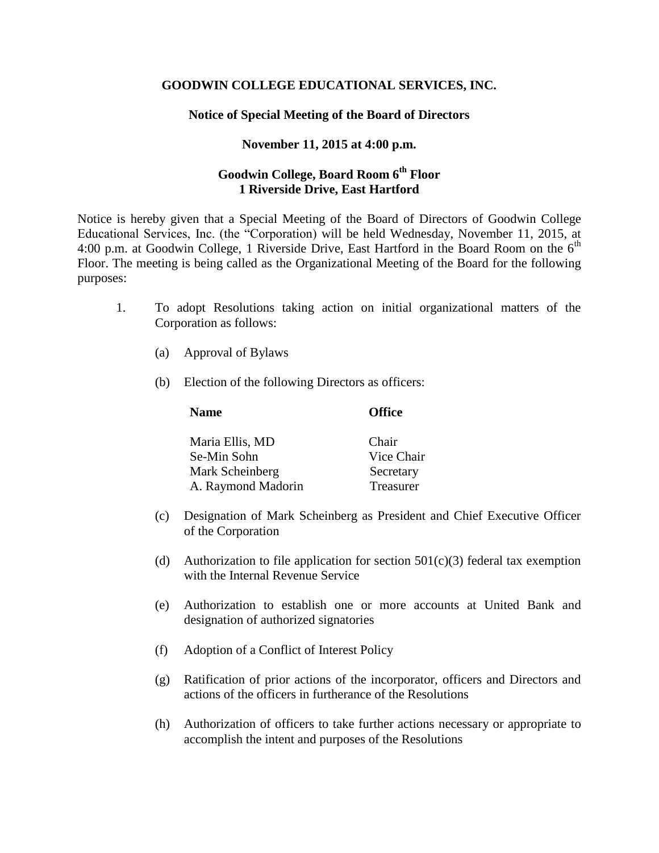## **GOODWIN COLLEGE EDUCATIONAL SERVICES, INC.**

## **Notice of Special Meeting of the Board of Directors**

## **November 11, 2015 at 4:00 p.m.**

## **Goodwin College, Board Room 6th Floor 1 Riverside Drive, East Hartford**

Notice is hereby given that a Special Meeting of the Board of Directors of Goodwin College Educational Services, Inc. (the "Corporation) will be held Wednesday, November 11, 2015, at 4:00 p.m. at Goodwin College, 1 Riverside Drive, East Hartford in the Board Room on the  $6<sup>th</sup>$ Floor. The meeting is being called as the Organizational Meeting of the Board for the following purposes:

- 1. To adopt Resolutions taking action on initial organizational matters of the Corporation as follows:
	- (a) Approval of Bylaws
	- (b) Election of the following Directors as officers:

| <b>Name</b>        | <b>Office</b> |
|--------------------|---------------|
| Maria Ellis, MD    | Chair         |
| Se-Min Sohn        | Vice Chair    |
| Mark Scheinberg    | Secretary     |
| A. Raymond Madorin | Treasurer     |

- (c) Designation of Mark Scheinberg as President and Chief Executive Officer of the Corporation
- (d) Authorization to file application for section  $501(c)(3)$  federal tax exemption with the Internal Revenue Service
- (e) Authorization to establish one or more accounts at United Bank and designation of authorized signatories
- (f) Adoption of a Conflict of Interest Policy
- (g) Ratification of prior actions of the incorporator, officers and Directors and actions of the officers in furtherance of the Resolutions
- (h) Authorization of officers to take further actions necessary or appropriate to accomplish the intent and purposes of the Resolutions